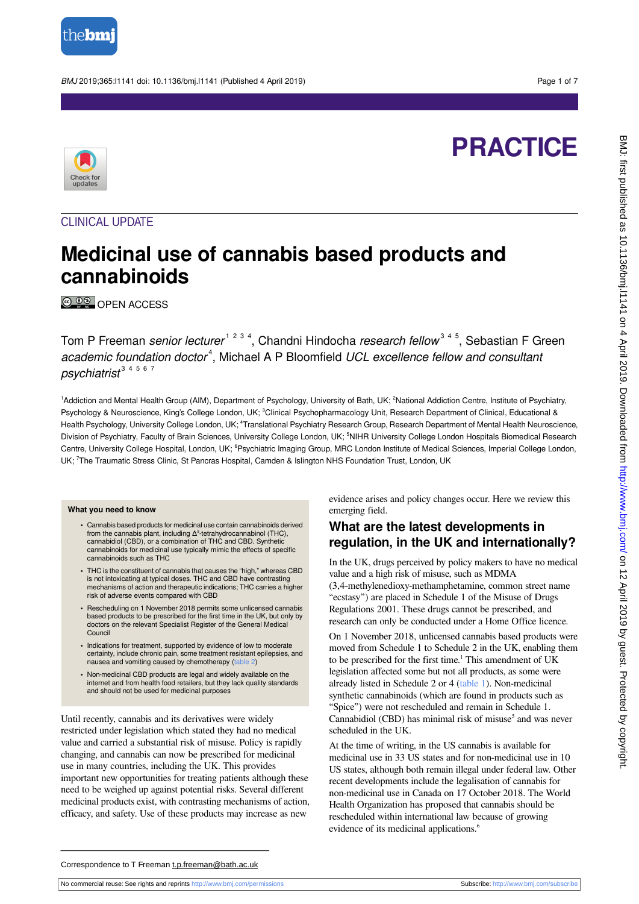

#### BMJ 2019;365:l1141 doi: 10.1136/bmj.l1141 (Published 4 April 2019) Page 1 of 7

# **PRACTICE**



CLINICAL UPDATE

## **Medicinal use of cannabis based products and cannabinoids**

**CO [OPEN ACCESS](http://creativecommons.org/licenses/by-nc/4.0/)** 

Tom P Freeman senior lecturer<sup>1 2 3</sup><sup>4</sup>, Chandni Hindocha research fellow<sup>345</sup>, Sebastian F Green academic foundation doctor<sup>4</sup>, Michael A P Bloomfield UCL excellence fellow and consultant psychiatrist<sup>3 4 5 6 7</sup>

<sup>1</sup>Addiction and Mental Health Group (AIM), Department of Psychology, University of Bath, UK; <sup>2</sup>National Addiction Centre, Institute of Psychiatry, Psychology & Neuroscience, King's College London, UK; <sup>3</sup>Clinical Psychopharmacology Unit, Research Department of Clinical, Educational & Health Psychology, University College London, UK; <sup>4</sup>Translational Psychiatry Research Group, Research Department of Mental Health Neuroscience, Division of Psychiatry, Faculty of Brain Sciences, University College London, UK; <sup>5</sup>NIHR University College London Hospitals Biomedical Research Centre, University College Hospital, London, UK; <sup>6</sup>Psychiatric Imaging Group, MRC London Institute of Medical Sciences, Imperial College London, UK; <sup>7</sup>The Traumatic Stress Clinic, St Pancras Hospital, Camden & Islington NHS Foundation Trust, London, UK

#### **What you need to know**

- **•** Cannabis based products for medicinal use contain cannabinoids derived from the cannabis plant, including ∆<sup>9</sup>-tetrahydrocannabinol (THC), cannabidiol (CBD), or a combination of THC and CBD. Synthetic cannabinoids for medicinal use typically mimic the effects of specific cannabinoids such as THC
- **•** THC is the constituent of cannabis that causes the "high," whereas CBD is not intoxicating at typical doses. THC and CBD have contrasting mechanisms of action and therapeutic indications; THC carries a higher risk of adverse events compared with CBD
- **•** Rescheduling on 1 November 2018 permits some unlicensed cannabis based products to be prescribed for the first time in the UK, but only by doctors on the relevant Specialist Register of the General Medical Council
- **•** Indications for treatment, supported by evidence of low to moderate certainty, include chronic pain, some treatment resistant epilepsies, and nausea and vomiting caused by chemotherapy [\(table 2\)](#page-5-0)
- **•** Non-medicinal CBD products are legal and widely available on the internet and from health food retailers, but they lack quality standards and should not be used for medicinal purposes

Until recently, cannabis and its derivatives were widely restricted under legislation which stated they had no medical value and carried a substantial risk of misuse. Policy is rapidly changing, and cannabis can now be prescribed for medicinal use in many countries, including the UK. This provides important new opportunities for treating patients although these need to be weighed up against potential risks. Several different medicinal products exist, with contrasting mechanisms of action, efficacy, and safety. Use of these products may increase as new

evidence arises and policy changes occur. Here we review this emerging field.

## **What are the latest developments in regulation, in the UK and internationally?**

In the UK, drugs perceived by policy makers to have no medical value and a high risk of misuse, such as MDMA (3,4-methylenedioxy-methamphetamine, common street name "ecstasy") are placed in Schedule 1 of the Misuse of Drugs Regulations 2001. These drugs cannot be prescribed, and

research can only be conducted under a Home Office licence. On 1 November 2018, unlicensed cannabis based products were

moved from Schedule 1 to Schedule 2 in the UK, enabling them to be prescribed for the first time.<sup>1</sup> This amendment of UK legislation affected some but not all products, as some were already listed in Schedule 2 or 4 ([table 1\)](#page-4-0). Non-medicinal synthetic cannabinoids (which are found in products such as "Spice") were not rescheduled and remain in Schedule 1. Cannabidiol (CBD) has minimal risk of misuse<sup>5</sup> and was never scheduled in the UK.

At the time of writing, in the US cannabis is available for medicinal use in 33 US states and for non-medicinal use in 10 US states, although both remain illegal under federal law. Other recent developments include the legalisation of cannabis for non-medicinal use in Canada on 17 October 2018. The World Health Organization has proposed that cannabis should be rescheduled within international law because of growing evidence of its medicinal applications.<sup>6</sup>

Correspondence to T Freeman t.p.freeman@bath.ac.uk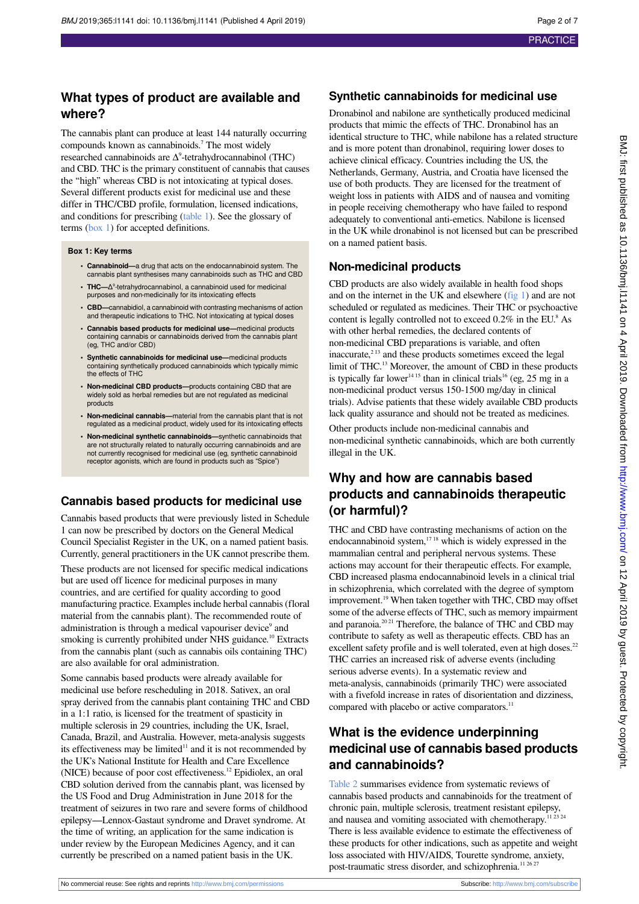## **What types of product are available and where?**

The cannabis plant can produce at least 144 naturally occurring compounds known as cannabinoids.<sup>7</sup> The most widely researched cannabinoids are ∆ 9 -tetrahydrocannabinol (THC) and CBD. THC is the primary constituent of cannabis that causes the "high" whereas CBD is not intoxicating at typical doses. Several different products exist for medicinal use and these differ in THC/CBD profile, formulation, licensed indications, and conditions for prescribing ([table 1](#page-4-0)). See the glossary of terms [\(box 1\)](#page-1-0) for accepted definitions.

#### <span id="page-1-0"></span>**Box 1: Key terms**

- **• Cannabinoid—**a drug that acts on the endocannabinoid system. The cannabis plant synthesises many cannabinoids such as THC and CBD
- **THC—**∆<sup>9</sup>-tetrahydrocannabinol, a cannabinoid used for medicinal purposes and non-medicinally for its intoxicating effects
- **• CBD—**cannabidiol, a cannabinoid with contrasting mechanisms of action and therapeutic indications to THC. Not intoxicating at typical doses
- **• Cannabis based products for medicinal use—**medicinal products containing cannabis or cannabinoids derived from the cannabis plant (eg, THC and/or CBD)
- **• Synthetic cannabinoids for medicinal use—**medicinal products containing synthetically produced cannabinoids which typically mimic the effects of THC
- **• Non-medicinal CBD products—**products containing CBD that are widely sold as herbal remedies but are not regulated as medicinal products
- **• Non-medicinal cannabis—**material from the cannabis plant that is not regulated as a medicinal product, widely used for its intoxicating effects
- **• Non-medicinal synthetic cannabinoids—**synthetic cannabinoids that are not structurally related to naturally occurring cannabinoids and are not currently recognised for medicinal use (eg, synthetic cannabinoid receptor agonists, which are found in products such as "Spice")

## **Cannabis based products for medicinal use**

Cannabis based products that were previously listed in Schedule 1 can now be prescribed by doctors on the General Medical Council Specialist Register in the UK, on a named patient basis. Currently, general practitioners in the UK cannot prescribe them.

These products are not licensed for specific medical indications but are used off licence for medicinal purposes in many countries, and are certified for quality according to good manufacturing practice. Examples include herbal cannabis (floral material from the cannabis plant). The recommended route of administration is through a medical vapouriser device<sup>9</sup> and smoking is currently prohibited under NHS guidance.<sup>10</sup> Extracts from the cannabis plant (such as cannabis oils containing THC) are also available for oral administration.

Some cannabis based products were already available for medicinal use before rescheduling in 2018. Sativex, an oral spray derived from the cannabis plant containing THC and CBD in a 1:1 ratio, is licensed for the treatment of spasticity in multiple sclerosis in 29 countries, including the UK, Israel, Canada, Brazil, and Australia. However, meta-analysis suggests its effectiveness may be limited $11$  and it is not recommended by the UK's National Institute for Health and Care Excellence (NICE) because of poor cost effectiveness.<sup>12</sup> Epidiolex, an oral CBD solution derived from the cannabis plant, was licensed by the US Food and Drug Administration in June 2018 for the treatment of seizures in two rare and severe forms of childhood epilepsy—Lennox-Gastaut syndrome and Dravet syndrome. At the time of writing, an application for the same indication is under review by the European Medicines Agency, and it can currently be prescribed on a named patient basis in the UK.

## **Synthetic cannabinoids for medicinal use**

Dronabinol and nabilone are synthetically produced medicinal products that mimic the effects of THC. Dronabinol has an identical structure to THC, while nabilone has a related structure and is more potent than dronabinol, requiring lower doses to achieve clinical efficacy. Countries including the US, the Netherlands, Germany, Austria, and Croatia have licensed the use of both products. They are licensed for the treatment of weight loss in patients with AIDS and of nausea and vomiting in people receiving chemotherapy who have failed to respond adequately to conventional anti-emetics. Nabilone is licensed in the UK while dronabinol is not licensed but can be prescribed on a named patient basis.

## **Non-medicinal products**

CBD products are also widely available in health food shops and on the internet in the UK and elsewhere ([fig 1\)](#page-6-0) and are not scheduled or regulated as medicines. Their THC or psychoactive content is legally controlled not to exceed 0.2% in the EU.<sup>8</sup> As with other herbal remedies, the declared contents of non-medicinal CBD preparations is variable, and often inaccurate,2 13 and these products sometimes exceed the legal limit of THC.<sup>13</sup> Moreover, the amount of CBD in these products is typically far lower<sup>14 15</sup> than in clinical trials<sup>16</sup> (eg, 25 mg in a non-medicinal product versus 150-1500 mg/day in clinical trials). Advise patients that these widely available CBD products lack quality assurance and should not be treated as medicines.

Other products include non-medicinal cannabis and non-medicinal synthetic cannabinoids, which are both currently illegal in the UK.

## **Why and how are cannabis based products and cannabinoids therapeutic (or harmful)?**

THC and CBD have contrasting mechanisms of action on the endocannabinoid system,<sup>1718</sup> which is widely expressed in the mammalian central and peripheral nervous systems. These actions may account for their therapeutic effects. For example, CBD increased plasma endocannabinoid levels in a clinical trial in schizophrenia, which correlated with the degree of symptom improvement.<sup>19</sup> When taken together with THC, CBD may offset some of the adverse effects of THC, such as memory impairment and paranoia.<sup>2021</sup> Therefore, the balance of THC and CBD may contribute to safety as well as therapeutic effects. CBD has an excellent safety profile and is well tolerated, even at high doses.<sup>22</sup> THC carries an increased risk of adverse events (including serious adverse events). In a systematic review and meta-analysis, cannabinoids (primarily THC) were associated with a fivefold increase in rates of disorientation and dizziness, compared with placebo or active comparators.<sup>11</sup>

## **What is the evidence underpinning medicinal use of cannabis based products and cannabinoids?**

[Table 2](#page-5-0) summarises evidence from systematic reviews of cannabis based products and cannabinoids for the treatment of chronic pain, multiple sclerosis, treatment resistant epilepsy, and nausea and vomiting associated with chemotherapy. $112324$ There is less available evidence to estimate the effectiveness of these products for other indications, such as appetite and weight loss associated with HIV/AIDS, Tourette syndrome, anxiety, post-traumatic stress disorder, and schizophrenia.<sup>11 26 27</sup>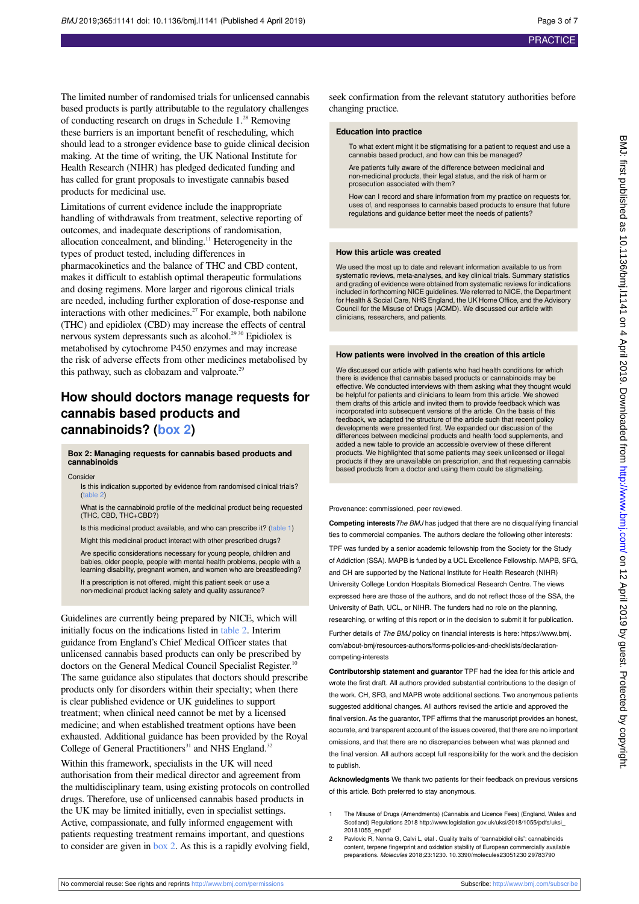The limited number of randomised trials for unlicensed cannabis based products is partly attributable to the regulatory challenges of conducting research on drugs in Schedule 1.<sup>28</sup> Removing these barriers is an important benefit of rescheduling, which should lead to a stronger evidence base to guide clinical decision making. At the time of writing, the UK National Institute for Health Research (NIHR) has pledged dedicated funding and has called for grant proposals to investigate cannabis based products for medicinal use.

Limitations of current evidence include the inappropriate handling of withdrawals from treatment, selective reporting of outcomes, and inadequate descriptions of randomisation, allocation concealment, and blinding.<sup>11</sup> Heterogeneity in the types of product tested, including differences in pharmacokinetics and the balance of THC and CBD content, makes it difficult to establish optimal therapeutic formulations and dosing regimens. More larger and rigorous clinical trials are needed, including further exploration of dose-response and interactions with other medicines.<sup>27</sup> For example, both nabilone (THC) and epidiolex (CBD) may increase the effects of central nervous system depressants such as alcohol.<sup>29 30</sup> Epidiolex is metabolised by cytochrome P450 enzymes and may increase the risk of adverse effects from other medicines metabolised by this pathway, such as clobazam and valproate.<sup>29</sup>

## <span id="page-2-0"></span>**How should doctors manage requests for cannabis based products and cannabinoids? [\(box 2](#page-2-0))**

#### **Box 2: Managing requests for cannabis based products and cannabinoids**

Consider

Is this indication supported by evidence from randomised clinical trials? [\(table 2\)](#page-5-0)

What is the cannabinoid profile of the medicinal product being requested (THC, CBD, THC+CBD?)

Is this medicinal product available, and who can prescribe it? [\(table 1\)](#page-4-0) Might this medicinal product interact with other prescribed drugs?

Are specific considerations necessary for young people, children and babies, older people, people with mental health problems, people with a learning disability, pregnant women, and women who are breastfeeding?

If a prescription is not offered, might this patient seek or use a non-medicinal product lacking safety and quality assurance?

Guidelines are currently being prepared by NICE, which will initially focus on the indications listed in [table 2](#page-5-0). Interim guidance from England's Chief Medical Officer states that unlicensed cannabis based products can only be prescribed by doctors on the General Medical Council Specialist Register.<sup>10</sup> The same guidance also stipulates that doctors should prescribe products only for disorders within their specialty; when there is clear published evidence or UK guidelines to support treatment; when clinical need cannot be met by a licensed medicine; and when established treatment options have been exhausted. Additional guidance has been provided by the Royal College of General Practitioners<sup>31</sup> and NHS England.<sup>32</sup>

Within this framework, specialists in the UK will need authorisation from their medical director and agreement from the multidisciplinary team, using existing protocols on controlled drugs. Therefore, use of unlicensed cannabis based products in the UK may be limited initially, even in specialist settings. Active, compassionate, and fully informed engagement with patients requesting treatment remains important, and questions to consider are given in [box 2](#page-2-0). As this is a rapidly evolving field,

seek confirmation from the relevant statutory authorities before changing practice.

#### **Education into practice**

To what extent might it be stigmatising for a patient to request and use a cannabis based product, and how can this be managed?

Are patients fully aware of the difference between medicinal and non-medicinal products, their legal status, and the risk of harm or prosecution associated with them?

How can I record and share information from my practice on requests for, uses of, and responses to cannabis based products to ensure that future regulations and guidance better meet the needs of patients?

### **How this article was created**

We used the most up to date and relevant information available to us from systematic reviews, meta-analyses, and key clinical trials. Summary statistics and grading of evidence were obtained from systematic reviews for indications included in forthcoming NICE guidelines. We referred to NICE, the Department for Health & Social Care, NHS England, the UK Home Office, and the Advisory Council for the Misuse of Drugs (ACMD). We discussed our article with clinicians, researchers, and patients.

#### **How patients were involved in the creation of this article**

We discussed our article with patients who had health conditions for which there is evidence that cannabis based products or cannabinoids may be effective. We conducted interviews with them asking what they thought would be helpful for patients and clinicians to learn from this article. We showed them drafts of this article and invited them to provide feedback which was incorporated into subsequent versions of the article. On the basis of this feedback, we adapted the structure of the article such that recent policy developments were presented first. We expanded our discussion of the differences between medicinal products and health food supplements, and added a new table to provide an accessible overview of these different products. We highlighted that some patients may seek unlicensed or illegal products if they are unavailable on prescription, and that requesting cannabis based products from a doctor and using them could be stigmatising.

Provenance: commissioned, peer reviewed.

**Competing interests**The BMJ has judged that there are no disqualifying financial ties to commercial companies. The authors declare the following other interests:

TPF was funded by a senior academic fellowship from the Society for the Study of Addiction (SSA). MAPB is funded by a UCL Excellence Fellowship. MAPB, SFG, and CH are supported by the National Institute for Health Research (NIHR) University College London Hospitals Biomedical Research Centre. The views expressed here are those of the authors, and do not reflect those of the SSA, the University of Bath, UCL, or NIHR. The funders had no role on the planning, researching, or writing of this report or in the decision to submit it for publication. Further details of The BMJ policy on financial interests is here: https://www.bmi. com/about-bmj/resources-authors/forms-policies-and-checklists/declarationcompeting-interests

**Contributorship statement and guarantor** TPF had the idea for this article and wrote the first draft. All authors provided substantial contributions to the design of the work. CH, SFG, and MAPB wrote additional sections. Two anonymous patients suggested additional changes. All authors revised the article and approved the final version. As the guarantor, TPF affirms that the manuscript provides an honest, accurate, and transparent account of the issues covered, that there are no important omissions, and that there are no discrepancies between what was planned and the final version. All authors accept full responsibility for the work and the decision to publish

**Acknowledgments** We thank two patients for their feedback on previous versions of this article. Both preferred to stay anonymous.

- 1 The Misuse of Drugs (Amendments) (Cannabis and Licence Fees) (England, Wales and Scotland) Regulations 2018 [http://www.legislation.gov.uk/uksi/2018/1055/pdfs/uksi\\_](http://www.legislation.gov.uk/uksi/2018/1055/pdfs/uksi_20181055_en.pdf) [20181055\\_en.pdf](http://www.legislation.gov.uk/uksi/2018/1055/pdfs/uksi_20181055_en.pdf)
- 2 Pavlovic R, Nenna G, Calvi L, etal . Quality traits of "cannabidiol oils": cannabinoids content, terpene fingerprint and oxidation stability of European commercially available preparations. Molecules 2018;23:1230. 10.3390/molecules23051230 29783790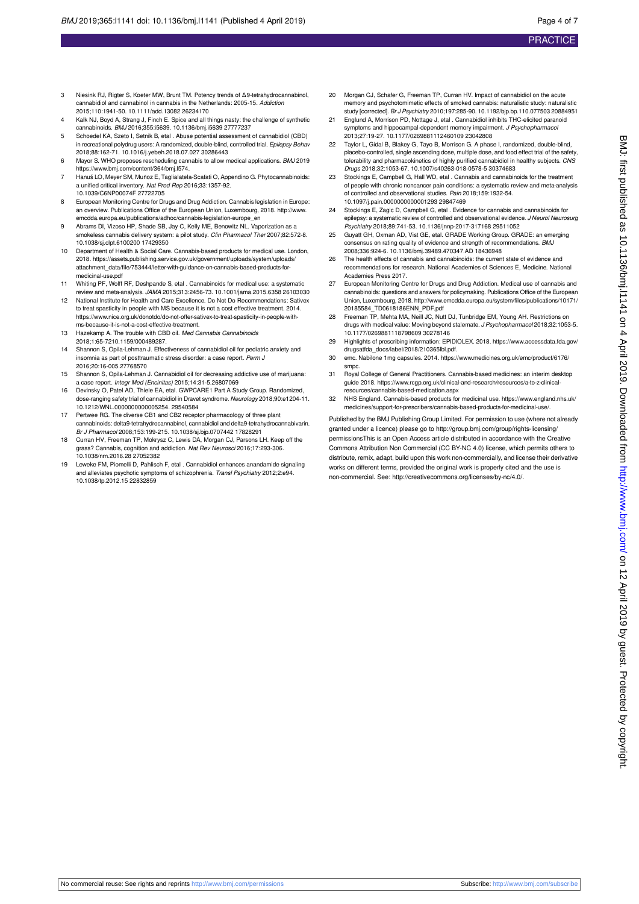- 3 Niesink RJ, Rigter S, Koeter MW, Brunt TM. Potency trends of Δ9-tetrahydrocannabinol, cannabidiol and cannabinol in cannabis in the Netherlands: 2005-15. Addiction 2015;110:1941-50. 10.1111/add.13082 26234170
- 4 Kalk NJ, Boyd A, Strang J, Finch E. Spice and all things nasty: the challenge of synthetic cannabinoids. BMJ 2016;355:i5639. 10.1136/bmj.i5639 27777237
- 5 Schoedel KA, Szeto I, Setnik B, etal . Abuse potential assessment of cannabidiol (CBD) in recreational polydrug users: A randomized, double-blind, controlled trial. Epilepsy Behav 2018;88:162-71. 10.1016/j.yebeh.2018.07.027 30286443
- 6 Mayor S. WHO proposes rescheduling cannabis to allow medical applications. BMJ 2019 https://www.bmj.com/content/364/bmj.l574.
- 7 Hanuš LO, Meyer SM, Muñoz E, Taglialatela-Scafati O, Appendino G. Phytocannabinoids: a unified critical inventory. Nat Prod Rep 2016;33:1357-92. 10.1039/C6NP00074F 27722705
- 8 European Monitoring Centre for Drugs and Drug Addiction. Cannabis legislation in Europe: an overview. Publications Office of the European Union, Luxembourg, 2018. [http://www.](http://www.emcdda.europa.eu/publications/adhoc/cannabis-legislation-europe_en) [emcdda.europa.eu/publications/adhoc/cannabis-legislation-europe\\_en](http://www.emcdda.europa.eu/publications/adhoc/cannabis-legislation-europe_en)
- 9 Abrams DI, Vizoso HP, Shade SB, Jay C, Kelly ME, Benowitz NL. Vaporization as a mokeless cannabis delivery system: a pilot study. Clin Pharmacol Ther 2007;82:572-8. 10.1038/sj.clpt.6100200 17429350
- 10 Department of Health & Social Care. Cannabis-based products for medical use. London, 2018. https://assets.publishing.service.gov.uk/government/uploads/system/uploads/ attachment\_data/file/753444/letter-with-guidance-on-cannabis-based-products-formedicinal-use.pdf
- 11 Whiting PF, Wolff RF, Deshpande S, etal . Cannabinoids for medical use: a systematic review and meta-analysis. JAMA 2015;313:2456-73. 10.1001/jama.2015.6358 26103030
- 12 National Institute for Health and Care Excellence. Do Not Do Recommendations: Sativex to treat spasticity in people with MS because it is not a cost effective treatment. 2014. https://www.nice.org.uk/donotdo/do-not-offer-sativex-to-treat-spasticity-in-people-withms-because-it-is-not-a-cost-effective-treatment.
- 13 Hazekamp A. The trouble with CBD oil. Med Cannabis Cannabinoids 2018;1:65-7210.1159/000489287.
- 14 Shannon S, Opila-Lehman J. Effectiveness of cannabidiol oil for pediatric anxiety and insomnia as part of posttraumatic stress disorder: a case report. Perm J 2016;20:16-005.27768570
- 15 Shannon S, Opila-Lehman J. Cannabidiol oil for decreasing addictive use of marijuana: a case report. Integr Med (Encinitas) 2015;14:31-5.26807069
- 16 Devinsky O, Patel AD, Thiele EA, etal. GWPCARE1 Part A Study Group. Randomized, dose-ranging safety trial of cannabidiol in Dravet syndrome. Neurology 2018;90:e1204-11. 10.1212/WNL.0000000000005254. 29540584
- 17 Pertwee RG. The diverse CB1 and CB2 receptor pharmacology of three plant cannabinoids: delta9-tetrahydrocannabinol, cannabidiol and delta9-tetrahydrocannabivarin.<br>*Br J Pharmacol* 2008;153:199-215. 10.1038/sj.bjp.0707442 17828291
- Curran HV, Freeman TP, Mokrysz C, Lewis DA, Morgan CJ, Parsons LH. Keep off the grass? Cannabis, cognition and addiction. Nat Rev Neurosci 2016;17:293-306. 10.1038/nrn.2016.28 27052382
- 19 Leweke FM, Piomelli D, Pahlisch F, etal . Cannabidiol enhances anandamide signaling and alleviates psychotic symptoms of schizophrenia. Transl Psychiatry 2012;2:e94. 10.1038/tp.2012.15 22832859
- 20 Morgan CJ, Schafer G, Freeman TP, Curran HV. Impact of cannabidiol on the acute memory and psychotomimetic effects of smoked cannabis: naturalistic study: naturalistic study [corrected]. Br J Psychiatry 2010;197:285-90. 10.1192/bjp.bp.110.077503 20884951
- 21 Englund A, Morrison PD, Nottage J, etal . Cannabidiol inhibits THC-elicited paranoid symptoms and hippocampal-dependent memory impairment. J Psychopharmacol 2013;27:19-27. 10.1177/0269881112460109 23042808
- 22 Taylor L, Gidal B, Blakey G, Tayo B, Morrison G. A phase I, randomized, double-blind, placebo-controlled, single ascending dose, multiple dose, and food effect trial of the safety, tolerability and pharmacokinetics of highly purified cannabidiol in healthy subjects. CNS Drugs 2018;32:1053-67. 10.1007/s40263-018-0578-5 30374683
- Stockings E, Campbell G, Hall WD, etal . Cannabis and cannabinoids for the treatment of people with chronic noncancer pain conditions: a systematic review and meta-analysis of controlled and observational studies. Pain 2018;159:1932-54. 10.1097/j.pain.0000000000001293 29847469
- Stockings E, Zagic D, Campbell G, etal . Evidence for cannabis and cannabinoids for epilepsy: a systematic review of controlled and observational evidence. J Neurol Neurosurg Psychiatry 2018;89:741-53. 10.1136/jnnp-2017-317168 29511052
- 25 Guyatt GH, Oxman AD, Vist GE, etal. GRADE Working Group. GRADE: an emerging consensus on rating quality of evidence and strength of recommendations. BMJ 2008;336:924-6. 10.1136/bmj.39489.470347.AD 18436948
- The health effects of cannabis and cannabinoids: the current state of evidence and recommendations for research. National Academies of Sciences E, Medicine. National Academies Press 2017.
- 27 European Monitoring Centre for Drugs and Drug Addiction. Medical use of cannabis and cannabinoids: questions and answers for policymaking. Publications Office of the European Union, Luxembourg, 2018. [http://www.emcdda.europa.eu/system/files/publications/10171/](http://www.emcdda.europa.eu/system/files/publications/10171/20185584_TD0618186ENN_PDF.pdf) [20185584\\_TD0618186ENN\\_PDF.pdf](http://www.emcdda.europa.eu/system/files/publications/10171/20185584_TD0618186ENN_PDF.pdf)
- Freeman TP, Mehta MA, Neill JC, Nutt DJ, Tunbridge EM, Young AH. Restrictions on drugs with medical value: Moving beyond stalemate. J Psychopharmacol 2018;32:1053-5. 10.1177/0269881118798609 30278146
- 29 Highlights of prescribing information: EPIDIOLEX. 2018. https://www.accessdata.fda.gov/ drugsatfda\_docs/label/2018/210365lbl.pdf.
- 30 emc. Nabilone 1mg capsules. 2014. https://www.medicines.org.uk/emc/product/6176/ smpc.
- 31 Royal College of General Practitioners. Cannabis-based medicines: an interim desktop guide 2018. https://www.rcgp.org.uk/clinical-and-research/resources/a-to-z-clinicalresources/cannabis-based-medication.aspx
- 32 NHS England. Cannabis-based products for medicinal use. https://www.england.nhs.uk/ medicines/support-for-prescribers/cannabis-based-products-for-medicinal-use/.

Published by the BMJ Publishing Group Limited. For permission to use (where not already granted under a licence) please go to [http://group.bmj.com/group/rights-licensing/](http://group.bmj.com/group/rights-licensing/permissions) [permissions](http://group.bmj.com/group/rights-licensing/permissions)This is an Open Access article distributed in accordance with the Creative Commons Attribution Non Commercial (CC BY-NC 4.0) license, which permits others to distribute, remix, adapt, build upon this work non-commercially, and license their derivative works on different terms, provided the original work is properly cited and the use is non-commercial. See: [http://creativecommons.org/licenses/by-nc/4.0/.](http://creativecommons.org/licenses/by-nc/4.0/)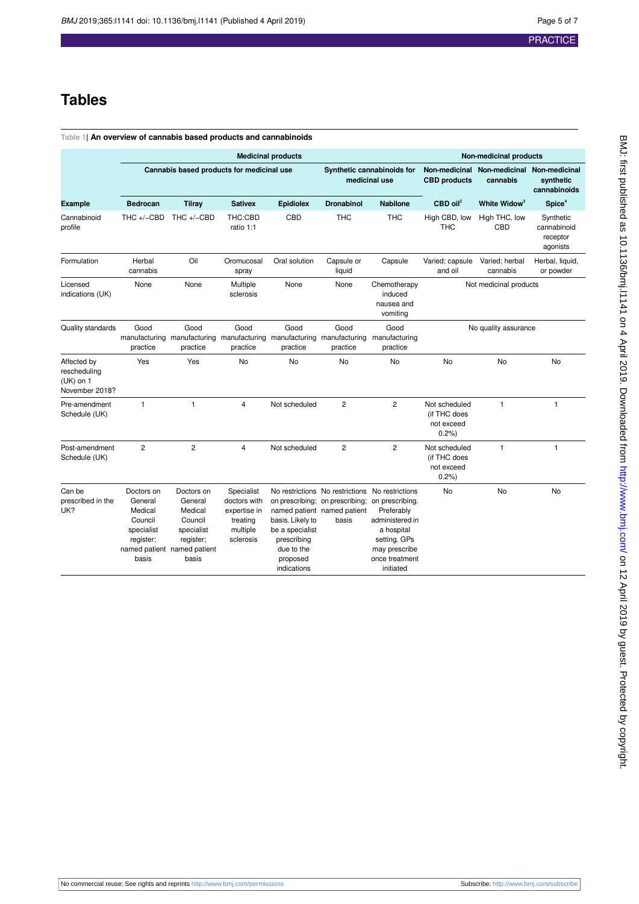## **Tables**

### <span id="page-4-0"></span>**Table 1| An overview of cannabis based products and cannabinoids**

|                                                            |                                                                                 |                                                                                                                | <b>Medicinal products</b>                                                       | Non-medicinal products                                                                      |                                                                         |                                                                                                                                                                                   |                                                     |                                         |                                                  |
|------------------------------------------------------------|---------------------------------------------------------------------------------|----------------------------------------------------------------------------------------------------------------|---------------------------------------------------------------------------------|---------------------------------------------------------------------------------------------|-------------------------------------------------------------------------|-----------------------------------------------------------------------------------------------------------------------------------------------------------------------------------|-----------------------------------------------------|-----------------------------------------|--------------------------------------------------|
|                                                            |                                                                                 | Cannabis based products for medicinal use                                                                      |                                                                                 |                                                                                             | Synthetic cannabinoids for<br>medicinal use                             |                                                                                                                                                                                   | <b>CBD</b> products                                 | Non-medicinal Non-medicinal<br>cannabis | Non-medicinal<br>synthetic<br>cannabinoids       |
| <b>Example</b>                                             | <b>Bedrocan</b>                                                                 | <b>Tilray</b>                                                                                                  | <b>Sativex</b>                                                                  | <b>Epidiolex</b>                                                                            | <b>Dronabinol</b>                                                       | <b>Nabilone</b>                                                                                                                                                                   | $CBD$ oil <sup>2</sup>                              | White Widow <sup>3</sup>                | Spice <sup>4</sup>                               |
| Cannabinoid<br>profile                                     | THC+/-CBD                                                                       | THC+/-CBD                                                                                                      | THC:CBD<br>ratio 1:1                                                            | CBD                                                                                         | <b>THC</b>                                                              | <b>THC</b>                                                                                                                                                                        | High CBD, low<br><b>THC</b>                         | High THC, low<br>CBD                    | Synthetic<br>cannabinoid<br>receptor<br>agonists |
| Formulation                                                | Herbal<br>cannabis                                                              | Oil                                                                                                            | Oromucosal<br>spray                                                             | Oral solution                                                                               | Capsule or<br>liquid                                                    | Capsule                                                                                                                                                                           | Varied; capsule<br>and oil                          | Varied; herbal<br>cannabis              | Herbal, liquid,<br>or powder                     |
| Licensed<br>indications (UK)                               | None                                                                            | None                                                                                                           | Multiple<br>sclerosis                                                           | None                                                                                        | None                                                                    | Chemotherapy<br>induced<br>nausea and<br>vomiting                                                                                                                                 | Not medicinal products                              |                                         |                                                  |
| Quality standards                                          | Good<br>practice                                                                | Good<br>practice                                                                                               | Good<br>practice                                                                | Good<br>manufacturing manufacturing manufacturing manufacturing manufacturing<br>practice   | Good<br>practice                                                        | Good<br>manufacturing<br>practice                                                                                                                                                 | No quality assurance                                |                                         |                                                  |
| Affected by<br>rescheduling<br>(UK) on 1<br>November 2018? | Yes                                                                             | Yes                                                                                                            | No                                                                              | No                                                                                          | No                                                                      | No                                                                                                                                                                                | No                                                  | <b>No</b>                               | No                                               |
| Pre-amendment<br>Schedule (UK)                             | $\mathbf{1}$                                                                    | $\mathbf{1}$                                                                                                   | 4                                                                               | Not scheduled                                                                               | $\overline{c}$                                                          | $\overline{2}$                                                                                                                                                                    | Not scheduled<br>(if THC does<br>not exceed<br>0.2% | $\mathbf{1}$                            | 1                                                |
| Post-amendment<br>Schedule (UK)                            | $\overline{c}$                                                                  | $\overline{2}$                                                                                                 | $\overline{4}$                                                                  | Not scheduled                                                                               | $\overline{c}$                                                          | $\overline{2}$                                                                                                                                                                    | Not scheduled<br>(if THC does<br>not exceed<br>0.2% | $\mathbf{1}$                            | $\mathbf{1}$                                     |
| Can be<br>prescribed in the<br>UK?                         | Doctors on<br>General<br>Medical<br>Council<br>specialist<br>register;<br>basis | Doctors on<br>General<br>Medical<br>Council<br>specialist<br>register;<br>named patient named patient<br>basis | Specialist<br>doctors with<br>expertise in<br>treating<br>multiple<br>sclerosis | basis. Likely to<br>be a specialist<br>prescribing<br>due to the<br>proposed<br>indications | No restrictions No restrictions<br>named patient named patient<br>basis | No restrictions<br>on prescribing; on prescribing; on prescribing.<br>Preferably<br>administered in<br>a hospital<br>setting. GPs<br>may prescribe<br>once treatment<br>initiated | No                                                  | No                                      | No                                               |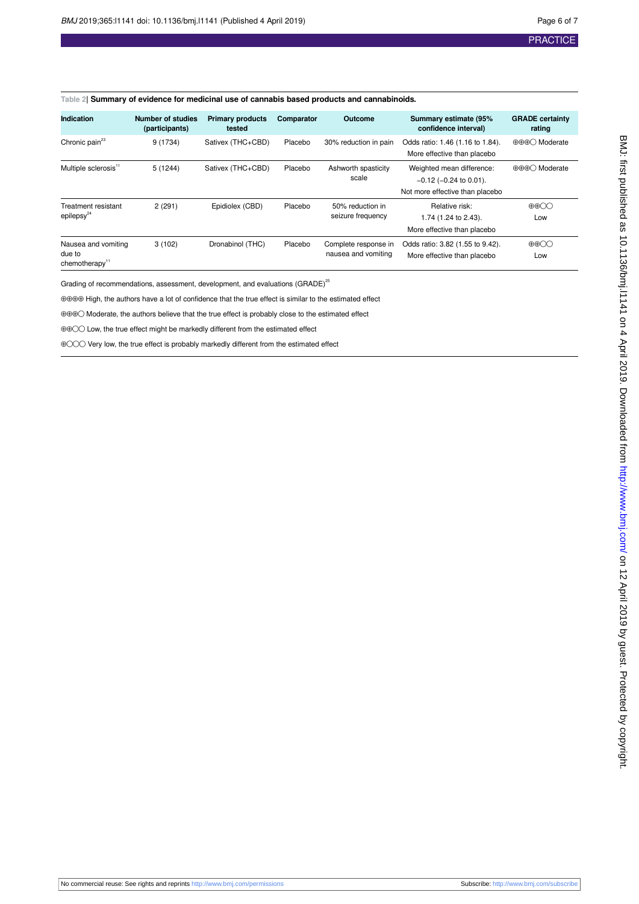<span id="page-5-0"></span>

| <b>Indication</b>                                           | <b>Number of studies</b><br>(participants) | <b>Primary products</b><br>tested | Comparator | <b>Outcome</b>                              | Summary estimate (95%<br>confidence interval)                                               | <b>GRADE</b> certainty<br>rating |
|-------------------------------------------------------------|--------------------------------------------|-----------------------------------|------------|---------------------------------------------|---------------------------------------------------------------------------------------------|----------------------------------|
| Chronic pain $23$                                           | 9(1734)                                    | Sativex (THC+CBD)                 | Placebo    | 30% reduction in pain                       | Odds ratio: 1.46 (1.16 to 1.84).<br>More effective than placebo                             | ⊕⊕⊕○ Moderate                    |
| Multiple sclerosis <sup>11</sup>                            | 5(1244)                                    | Sativex (THC+CBD)                 | Placebo    | Ashworth spasticity<br>scale                | Weighted mean difference:<br>$-0.12$ ( $-0.24$ to 0.01).<br>Not more effective than placebo | ⊕⊕⊕○ Moderate                    |
| Treatment resistant<br>epilepsy $^{24}$                     | 2(291)                                     | Epidiolex (CBD)                   | Placebo    | 50% reduction in<br>seizure frequency       | Relative risk:<br>1.74 (1.24 to 2.43).<br>More effective than placebo                       | $\oplus$ OO<br>Low               |
| Nausea and vomiting<br>due to<br>chemotherapy <sup>11</sup> | 3(102)                                     | Dronabinol (THC)                  | Placebo    | Complete response in<br>nausea and vomiting | Odds ratio: 3.82 (1.55 to 9.42).<br>More effective than placebo                             | $\oplus$ OO<br>Low               |

Grading of recommendations, assessment, development, and evaluations (GRADE)<sup>25</sup>

⨁⨁⨁⨁ High, the authors have a lot of confidence that the true effect is similar to the estimated effect

⨁⨁⨁◯ Moderate, the authors believe that the true effect is probably close to the estimated effect

⨁⨁◯◯ Low, the true effect might be markedly different from the estimated effect

⨁◯◯◯ Very low, the true effect is probably markedly different from the estimated effect